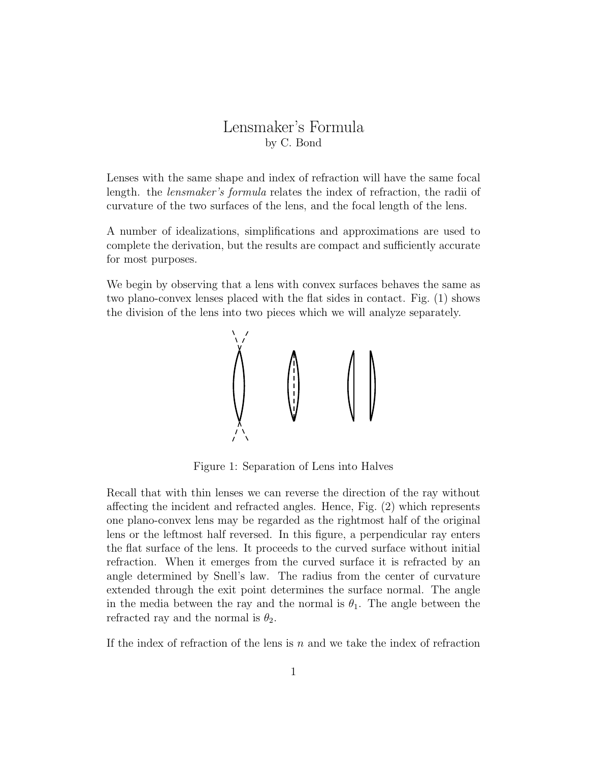## Lensmaker's Formula by C. Bond

Lenses with the same shape and index of refraction will have the same focal length. the lensmaker's formula relates the index of refraction, the radii of curvature of the two surfaces of the lens, and the focal length of the lens.

A number of idealizations, simplifications and approximations are used to complete the derivation, but the results are compact and sufficiently accurate for most purposes.

We begin by observing that a lens with convex surfaces behaves the same as two plano-convex lenses placed with the flat sides in contact. Fig. (1) shows the division of the lens into two pieces which we will analyze separately.



Figure 1: Separation of Lens into Halves

Recall that with thin lenses we can reverse the direction of the ray without affecting the incident and refracted angles. Hence, Fig. (2) which represents one plano-convex lens may be regarded as the rightmost half of the original lens or the leftmost half reversed. In this figure, a perpendicular ray enters the flat surface of the lens. It proceeds to the curved surface without initial refraction. When it emerges from the curved surface it is refracted by an angle determined by Snell's law. The radius from the center of curvature extended through the exit point determines the surface normal. The angle in the media between the ray and the normal is  $\theta_1$ . The angle between the refracted ray and the normal is  $\theta_2$ .

If the index of refraction of the lens is  $n$  and we take the index of refraction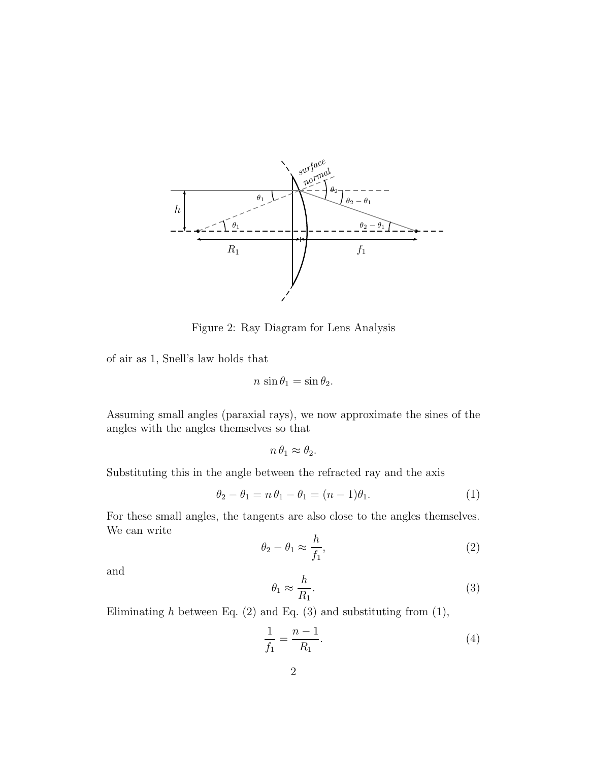

Figure 2: Ray Diagram for Lens Analysis

of air as 1, Snell's law holds that

$$
n \sin \theta_1 = \sin \theta_2.
$$

Assuming small angles (paraxial rays), we now approximate the sines of the angles with the angles themselves so that

$$
n \,\theta_1 \approx \theta_2.
$$

Substituting this in the angle between the refracted ray and the axis

$$
\theta_2 - \theta_1 = n\,\theta_1 - \theta_1 = (n-1)\theta_1. \tag{1}
$$

For these small angles, the tangents are also close to the angles themselves. We can write

$$
\theta_2 - \theta_1 \approx \frac{h}{f_1},\tag{2}
$$

and

$$
\theta_1 \approx \frac{h}{R_1}.\tag{3}
$$

Eliminating  $h$  between Eq. (2) and Eq. (3) and substituting from (1),

$$
\frac{1}{f_1} = \frac{n-1}{R_1}.\tag{4}
$$